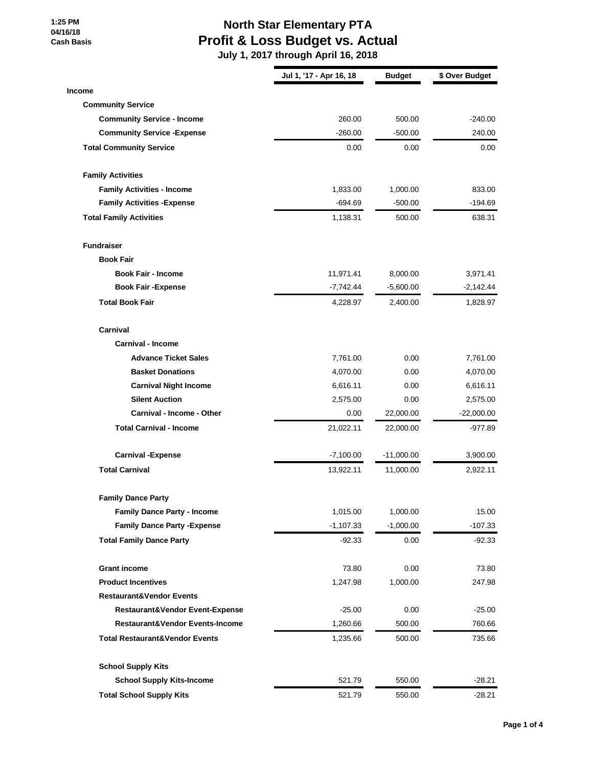**1:25 PM 04/16/18 Cash Basis**

## **North Star Elementary PTA Profit & Loss Budget vs. Actual**

|                                           | Jul 1, '17 - Apr 16, 18 | <b>Budget</b> | \$ Over Budget |
|-------------------------------------------|-------------------------|---------------|----------------|
| <b>Income</b>                             |                         |               |                |
| <b>Community Service</b>                  |                         |               |                |
| <b>Community Service - Income</b>         | 260.00                  | 500.00        | $-240.00$      |
| <b>Community Service - Expense</b>        | $-260.00$               | $-500.00$     | 240.00         |
| <b>Total Community Service</b>            | 0.00                    | 0.00          | 0.00           |
| <b>Family Activities</b>                  |                         |               |                |
| <b>Family Activities - Income</b>         | 1,833.00                | 1,000.00      | 833.00         |
| <b>Family Activities - Expense</b>        | $-694.69$               | $-500.00$     | -194.69        |
| <b>Total Family Activities</b>            | 1,138.31                | 500.00        | 638.31         |
| <b>Fundraiser</b>                         |                         |               |                |
| <b>Book Fair</b>                          |                         |               |                |
| <b>Book Fair - Income</b>                 | 11,971.41               | 8,000.00      | 3,971.41       |
| <b>Book Fair - Expense</b>                | $-7,742.44$             | $-5,600.00$   | $-2,142.44$    |
| <b>Total Book Fair</b>                    | 4,228.97                | 2,400.00      | 1,828.97       |
| Carnival                                  |                         |               |                |
| <b>Carnival - Income</b>                  |                         |               |                |
| <b>Advance Ticket Sales</b>               | 7,761.00                | 0.00          | 7,761.00       |
| <b>Basket Donations</b>                   | 4,070.00                | 0.00          | 4,070.00       |
| <b>Carnival Night Income</b>              | 6,616.11                | 0.00          | 6,616.11       |
| <b>Silent Auction</b>                     | 2,575.00                | 0.00          | 2,575.00       |
| Carnival - Income - Other                 | 0.00                    | 22,000.00     | $-22,000.00$   |
| <b>Total Carnival - Income</b>            | 21,022.11               | 22,000.00     | -977.89        |
| <b>Carnival -Expense</b>                  | $-7,100.00$             | $-11,000.00$  | 3,900.00       |
| <b>Total Carnival</b>                     | 13,922.11               | 11,000.00     | 2,922.11       |
| <b>Family Dance Party</b>                 |                         |               |                |
| <b>Family Dance Party - Income</b>        | 1,015.00                | 1,000.00      | 15.00          |
| <b>Family Dance Party - Expense</b>       | $-1,107.33$             | $-1,000.00$   | $-107.33$      |
| <b>Total Family Dance Party</b>           | $-92.33$                | 0.00          | -92.33         |
| <b>Grant income</b>                       | 73.80                   | 0.00          | 73.80          |
| <b>Product Incentives</b>                 | 1,247.98                | 1,000.00      | 247.98         |
| <b>Restaurant&amp;Vendor Events</b>       |                         |               |                |
| Restaurant&Vendor Event-Expense           | $-25.00$                | 0.00          | $-25.00$       |
| Restaurant&Vendor Events-Income           | 1,260.66                | 500.00        | 760.66         |
| <b>Total Restaurant&amp;Vendor Events</b> | 1,235.66                | 500.00        | 735.66         |
| <b>School Supply Kits</b>                 |                         |               |                |
| <b>School Supply Kits-Income</b>          | 521.79                  | 550.00        | $-28.21$       |
| <b>Total School Supply Kits</b>           | 521.79                  | 550.00        | $-28.21$       |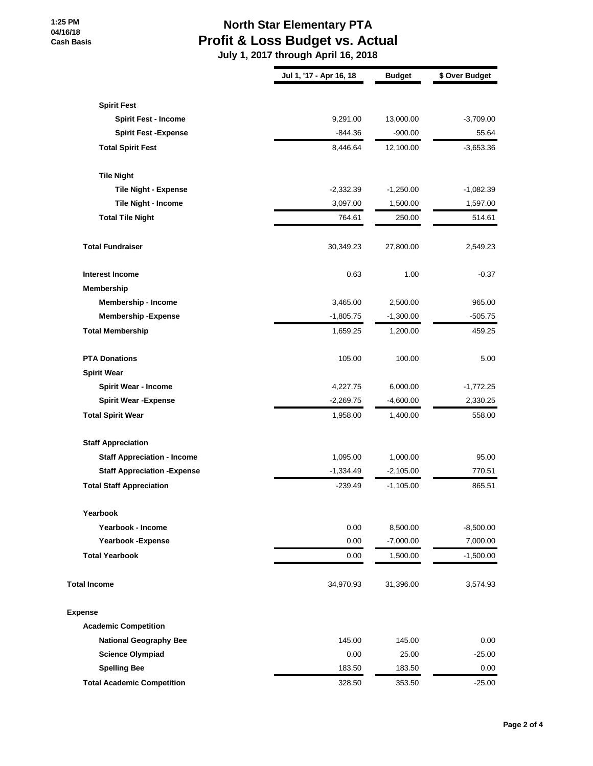#### **1:25 PM 04/16/18 Cash Basis**

## **North Star Elementary PTA Profit & Loss Budget vs. Actual**

|                                     | Jul 1, '17 - Apr 16, 18 | <b>Budget</b> | \$ Over Budget |
|-------------------------------------|-------------------------|---------------|----------------|
| <b>Spirit Fest</b>                  |                         |               |                |
| <b>Spirit Fest - Income</b>         | 9,291.00                | 13,000.00     | $-3,709.00$    |
| <b>Spirit Fest - Expense</b>        | $-844.36$               | $-900.00$     | 55.64          |
| <b>Total Spirit Fest</b>            | 8,446.64                | 12,100.00     | $-3,653.36$    |
| <b>Tile Night</b>                   |                         |               |                |
| <b>Tile Night - Expense</b>         | $-2,332.39$             | $-1,250.00$   | $-1,082.39$    |
| Tile Night - Income                 | 3,097.00                | 1,500.00      | 1,597.00       |
| <b>Total Tile Night</b>             | 764.61                  | 250.00        | 514.61         |
|                                     |                         |               |                |
| <b>Total Fundraiser</b>             | 30,349.23               | 27,800.00     | 2,549.23       |
| <b>Interest Income</b>              | 0.63                    | 1.00          | $-0.37$        |
| Membership                          |                         |               |                |
| <b>Membership - Income</b>          | 3,465.00                | 2,500.00      | 965.00         |
| <b>Membership - Expense</b>         | $-1,805.75$             | $-1,300.00$   | $-505.75$      |
| <b>Total Membership</b>             | 1,659.25                | 1,200.00      | 459.25         |
| <b>PTA Donations</b>                | 105.00                  | 100.00        | 5.00           |
| <b>Spirit Wear</b>                  |                         |               |                |
| <b>Spirit Wear - Income</b>         | 4,227.75                | 6,000.00      | $-1,772.25$    |
| <b>Spirit Wear - Expense</b>        | $-2,269.75$             | $-4,600.00$   | 2,330.25       |
| <b>Total Spirit Wear</b>            | 1,958.00                | 1,400.00      | 558.00         |
| <b>Staff Appreciation</b>           |                         |               |                |
| <b>Staff Appreciation - Income</b>  | 1,095.00                | 1,000.00      | 95.00          |
| <b>Staff Appreciation - Expense</b> | $-1,334.49$             | $-2,105.00$   | 770.51         |
| <b>Total Staff Appreciation</b>     | $-239.49$               | $-1,105.00$   | 865.51         |
| Yearbook                            |                         |               |                |
| Yearbook - Income                   | 0.00                    | 8,500.00      | $-8,500.00$    |
| Yearbook - Expense                  | 0.00                    | $-7,000.00$   | 7,000.00       |
| <b>Total Yearbook</b>               | 0.00                    | 1,500.00      | $-1,500.00$    |
| <b>Total Income</b>                 | 34,970.93               | 31,396.00     | 3,574.93       |
| <b>Expense</b>                      |                         |               |                |
| <b>Academic Competition</b>         |                         |               |                |
| <b>National Geography Bee</b>       | 145.00                  | 145.00        | 0.00           |
| <b>Science Olympiad</b>             | 0.00                    | 25.00         | $-25.00$       |
| <b>Spelling Bee</b>                 | 183.50                  | 183.50        | 0.00           |
| <b>Total Academic Competition</b>   | 328.50                  | 353.50        | $-25.00$       |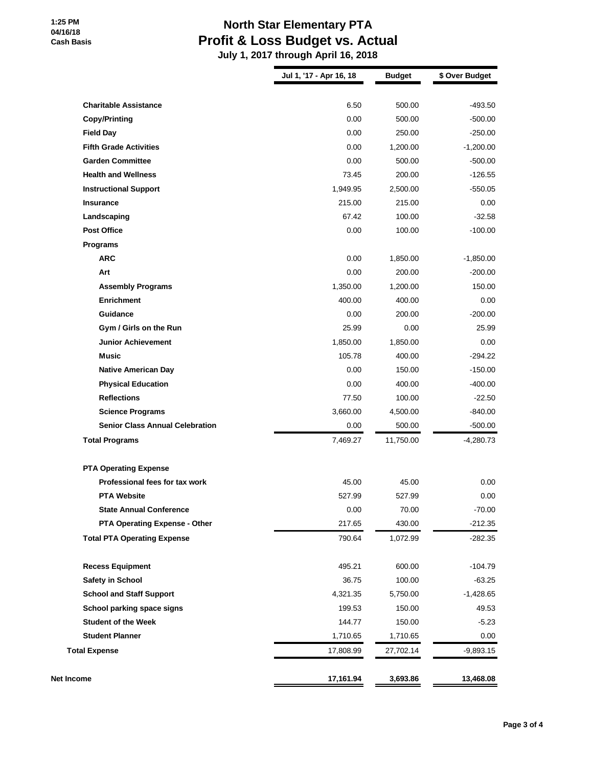## **North Star Elementary PTA Profit & Loss Budget vs. Actual**

| 6.50<br>0.00<br>0.00<br>0.00<br>0.00<br>73.45<br>1,949.95<br>215.00<br>67.42<br>0.00<br>0.00<br>0.00 | 500.00<br>500.00<br>250.00<br>1,200.00<br>500.00<br>200.00<br>2,500.00<br>215.00<br>100.00<br>100.00<br>1,850.00 | $-493.50$<br>$-500.00$<br>$-250.00$<br>$-1,200.00$<br>$-500.00$<br>$-126.55$<br>$-550.05$<br>0.00<br>$-32.58$<br>$-100.00$ |
|------------------------------------------------------------------------------------------------------|------------------------------------------------------------------------------------------------------------------|----------------------------------------------------------------------------------------------------------------------------|
|                                                                                                      |                                                                                                                  |                                                                                                                            |
|                                                                                                      |                                                                                                                  |                                                                                                                            |
|                                                                                                      |                                                                                                                  |                                                                                                                            |
|                                                                                                      |                                                                                                                  |                                                                                                                            |
|                                                                                                      |                                                                                                                  |                                                                                                                            |
|                                                                                                      |                                                                                                                  |                                                                                                                            |
|                                                                                                      |                                                                                                                  |                                                                                                                            |
|                                                                                                      |                                                                                                                  |                                                                                                                            |
|                                                                                                      |                                                                                                                  |                                                                                                                            |
|                                                                                                      |                                                                                                                  |                                                                                                                            |
|                                                                                                      |                                                                                                                  |                                                                                                                            |
|                                                                                                      |                                                                                                                  |                                                                                                                            |
|                                                                                                      |                                                                                                                  | $-1,850.00$                                                                                                                |
|                                                                                                      | 200.00                                                                                                           | $-200.00$                                                                                                                  |
| 1,350.00                                                                                             | 1,200.00                                                                                                         | 150.00                                                                                                                     |
| 400.00                                                                                               | 400.00                                                                                                           | 0.00                                                                                                                       |
| 0.00                                                                                                 | 200.00                                                                                                           | $-200.00$                                                                                                                  |
| 25.99                                                                                                | 0.00                                                                                                             | 25.99                                                                                                                      |
| 1,850.00                                                                                             | 1,850.00                                                                                                         | 0.00                                                                                                                       |
| 105.78                                                                                               | 400.00                                                                                                           | $-294.22$                                                                                                                  |
| 0.00                                                                                                 | 150.00                                                                                                           | $-150.00$                                                                                                                  |
| 0.00                                                                                                 | 400.00                                                                                                           | $-400.00$                                                                                                                  |
| 77.50                                                                                                | 100.00                                                                                                           | $-22.50$                                                                                                                   |
| 3,660.00                                                                                             | 4,500.00                                                                                                         | $-840.00$                                                                                                                  |
| 0.00                                                                                                 | 500.00                                                                                                           | $-500.00$                                                                                                                  |
| 7,469.27                                                                                             | 11,750.00                                                                                                        | $-4,280.73$                                                                                                                |
|                                                                                                      |                                                                                                                  |                                                                                                                            |
| 45.00                                                                                                | 45.00                                                                                                            | 0.00                                                                                                                       |
| 527.99                                                                                               | 527.99                                                                                                           | 0.00                                                                                                                       |
| 0.00                                                                                                 | 70.00                                                                                                            | $-70.00$                                                                                                                   |
| 217.65                                                                                               | 430.00                                                                                                           | $-212.35$                                                                                                                  |
| 790.64                                                                                               | 1,072.99                                                                                                         | -282.35                                                                                                                    |
| 495.21                                                                                               | 600.00                                                                                                           | $-104.79$                                                                                                                  |
| 36.75                                                                                                | 100.00                                                                                                           | $-63.25$                                                                                                                   |
| 4,321.35                                                                                             | 5,750.00                                                                                                         | $-1,428.65$                                                                                                                |
| 199.53                                                                                               | 150.00                                                                                                           | 49.53                                                                                                                      |
| 144.77                                                                                               | 150.00                                                                                                           | $-5.23$                                                                                                                    |
| 1,710.65                                                                                             | 1,710.65                                                                                                         | 0.00                                                                                                                       |
| 17,808.99                                                                                            | 27,702.14                                                                                                        | $-9,893.15$                                                                                                                |
| 17,161.94                                                                                            | 3,693.86                                                                                                         | 13,468.08                                                                                                                  |
|                                                                                                      |                                                                                                                  |                                                                                                                            |